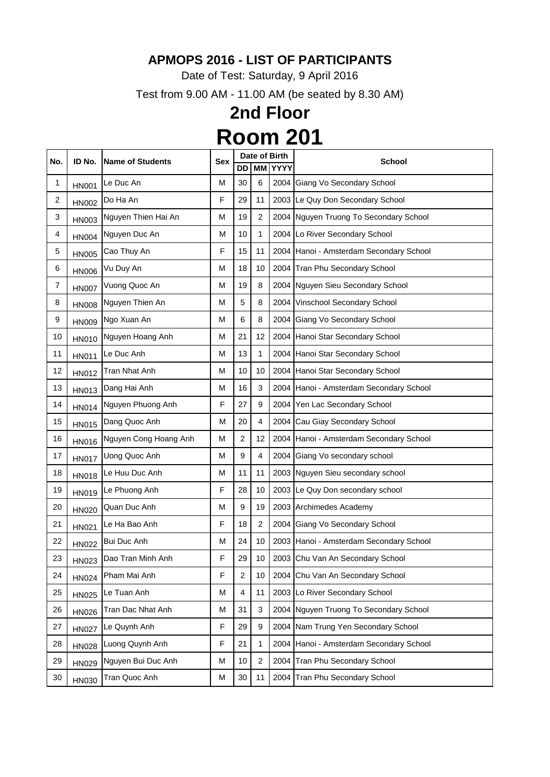Date of Test: Saturday, 9 April 2016

Test from 9.00 AM - 11.00 AM (be seated by 8.30 AM)

| No.            | ID No.       | <b>Name of Students</b> | <b>Sex</b> |                  |                | Date of Birth  | <b>School</b>                           |
|----------------|--------------|-------------------------|------------|------------------|----------------|----------------|-----------------------------------------|
|                |              |                         |            | <b>DD</b>        |                | <b>MM YYYY</b> |                                         |
| 1              | <b>HN001</b> | Le Duc An               | Μ          | 30               | 6              | 2004           | Giang Vo Secondary School               |
| $\overline{c}$ | <b>HN002</b> | Do Ha An                | F          | 29               | 11             |                | 2003 Le Quy Don Secondary School        |
| 3              | <b>HN003</b> | Nguyen Thien Hai An     | M          | 19               | 2              |                | 2004 Nguyen Truong To Secondary School  |
| 4              | <b>HN004</b> | Nguyen Duc An           | M          | 10               | 1              |                | 2004 Lo River Secondary School          |
| 5              | <b>HN005</b> | Cao Thuy An             | F          | 15               | 11             |                | 2004 Hanoi - Amsterdam Secondary School |
| 6              | <b>HN006</b> | Vu Duy An               | M          | 18               | 10             |                | 2004 Tran Phu Secondary School          |
| $\overline{7}$ | <b>HN007</b> | Vuong Quoc An           | M          | 19               | 8              |                | 2004 Nguyen Sieu Secondary School       |
| 8              | <b>HN008</b> | Nguyen Thien An         | M          | 5                | 8              | 2004           | Vinschool Secondary School              |
| 9              | <b>HN009</b> | Ngo Xuan An             | M          | $6\phantom{1}$   | 8              |                | 2004 Giang Vo Secondary School          |
| 10             | <b>HN010</b> | Nguyen Hoang Anh        | M          | 21               | 12             |                | 2004 Hanoi Star Secondary School        |
| 11             | <b>HN011</b> | Le Duc Anh              | M          | 13               | 1              |                | 2004 Hanoi Star Secondary School        |
| 12             | <b>HN012</b> | <b>Tran Nhat Anh</b>    | M          | 10               | 10             |                | 2004 Hanoi Star Secondary School        |
| 13             | HN013        | Dang Hai Anh            | M          | 16               | 3              |                | 2004 Hanoi - Amsterdam Secondary School |
| 14             | <b>HN014</b> | Nguyen Phuong Anh       | F          | 27               | 9              |                | 2004 Yen Lac Secondary School           |
| 15             | <b>HN015</b> | Dang Quoc Anh           | M          | 20               | 4              |                | 2004 Cau Giay Secondary School          |
| 16             | <b>HN016</b> | Nguyen Cong Hoang Anh   | Μ          | $\overline{2}$   | 12             |                | 2004 Hanoi - Amsterdam Secondary School |
| 17             | <b>HN017</b> | Uong Quoc Anh           | M          | $\boldsymbol{9}$ | 4              |                | 2004 Giang Vo secondary school          |
| 18             | <b>HN018</b> | Le Huu Duc Anh          | M          | 11               | 11             |                | 2003 Nguyen Sieu secondary school       |
| 19             | <b>HN019</b> | Le Phuong Anh           | F          | 28               | 10             |                | 2003 Le Quy Don secondary school        |
| 20             |              | HN020 Quan Duc Anh      | М          | g                | 19             |                | 2003 Archimedes Academy                 |
| 21             | <b>HN021</b> | Le Ha Bao Anh           | F          | 18               | 2              |                | 2004 Giang Vo Secondary School          |
| 22             | <b>HN022</b> | <b>Bui Duc Anh</b>      | M          | 24               | 10             |                | 2003 Hanoi - Amsterdam Secondary School |
| 23             | <b>HN023</b> | Dao Tran Minh Anh       | F          | 29               | 10             |                | 2003 Chu Van An Secondary School        |
| 24             | <b>HN024</b> | Pham Mai Anh            | F          | $\overline{2}$   | 10             |                | 2004 Chu Van An Secondary School        |
| 25             | <b>HN025</b> | Le Tuan Anh             | M          | 4                | 11             |                | 2003 Lo River Secondary School          |
| 26             | <b>HN026</b> | Tran Dac Nhat Anh       | M          | 31               | 3              |                | 2004 Nguyen Truong To Secondary School  |
| 27             | <b>HN027</b> | Le Quynh Anh            | F          | 29               | 9              |                | 2004 Nam Trung Yen Secondary School     |
| 28             | <b>HN028</b> | Luong Quynh Anh         | F          | 21               | 1              |                | 2004 Hanoi - Amsterdam Secondary School |
| 29             | HN029        | Nguyen Bui Duc Anh      | M          | 10               | $\overline{2}$ |                | 2004 Tran Phu Secondary School          |
| 30             | <b>HN030</b> | Tran Quoc Anh           | М          | 30               | 11             |                | 2004 Tran Phu Secondary School          |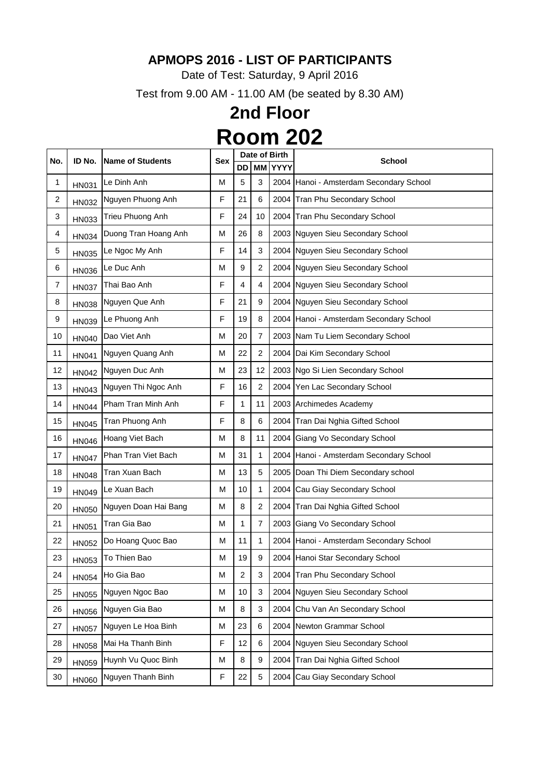Date of Test: Saturday, 9 April 2016

Test from 9.00 AM - 11.00 AM (be seated by 8.30 AM)

### **2nd Floor Room 202**

|     |              | <b>Name of Students</b>    |            |                |                | Date of Birth  |                                         |
|-----|--------------|----------------------------|------------|----------------|----------------|----------------|-----------------------------------------|
| No. | ID No.       |                            | <b>Sex</b> | DD.            |                | <b>MM YYYY</b> | <b>School</b>                           |
| 1   | <b>HN031</b> | Le Dinh Anh                | М          | 5              | 3              |                | 2004 Hanoi - Amsterdam Secondary School |
| 2   | <b>HN032</b> | Nguyen Phuong Anh          | F          | 21             | 6              |                | 2004 Tran Phu Secondary School          |
| 3   | <b>HN033</b> | Trieu Phuong Anh           | F          | 24             | 10             |                | 2004 Tran Phu Secondary School          |
| 4   | HN034        | Duong Tran Hoang Anh       | M          | 26             | 8              |                | 2003 Nguyen Sieu Secondary School       |
| 5   | <b>HN035</b> | Le Ngoc My Anh             | F          | 14             | 3              |                | 2004 Nguyen Sieu Secondary School       |
| 6   | <b>HN036</b> | Le Duc Anh                 | M          | 9              | $\overline{2}$ |                | 2004 Nguyen Sieu Secondary School       |
| 7   | <b>HN037</b> | Thai Bao Anh               | F          | 4              | 4              |                | 2004 Nguyen Sieu Secondary School       |
| 8   | <b>HN038</b> | Nguyen Que Anh             | F          | 21             | 9              |                | 2004 Nguyen Sieu Secondary School       |
| 9   | HN039        | Le Phuong Anh              | F          | 19             | 8              |                | 2004 Hanoi - Amsterdam Secondary School |
| 10  | <b>HN040</b> | Dao Viet Anh               | M          | 20             | $\overline{7}$ |                | 2003 Nam Tu Liem Secondary School       |
| 11  | <b>HN041</b> | Nguyen Quang Anh           | M          | 22             | $\overline{2}$ |                | 2004 Dai Kim Secondary School           |
| 12  | <b>HN042</b> | Nguyen Duc Anh             | M          | 23             | 12             |                | 2003 Ngo Si Lien Secondary School       |
| 13  | HN043        | Nguyen Thi Ngoc Anh        | F          | 16             | $\overline{2}$ |                | 2004 Yen Lac Secondary School           |
| 14  | <b>HN044</b> | Pham Tran Minh Anh         | F          | 1              | 11             |                | 2003 Archimedes Academy                 |
| 15  | <b>HN045</b> | Tran Phuong Anh            | F          | 8              | 6              |                | 2004 Tran Dai Nghia Gifted School       |
| 16  | <b>HN046</b> | Hoang Viet Bach            | M          | 8              | 11             |                | 2004 Giang Vo Secondary School          |
| 17  | <b>HN047</b> | Phan Tran Viet Bach        | M          | 31             | 1              |                | 2004 Hanoi - Amsterdam Secondary School |
| 18  | <b>HN048</b> | Tran Xuan Bach             | M          | 13             | 5              |                | 2005 Doan Thi Diem Secondary school     |
| 19  | <b>HN049</b> | Le Xuan Bach               | M          | 10             | 1              |                | 2004 Cau Giay Secondary School          |
| 20  |              | HN050 Nguyen Doan Hai Bang | M          | 8              | $\mathcal{P}$  |                | 2004 Tran Dai Nghia Gifted School       |
| 21  | <b>HN051</b> | Tran Gia Bao               | M          | 1              | 7              |                | 2003 Giang Vo Secondary School          |
| 22  | <b>HN052</b> | Do Hoang Quoc Bao          | M          | 11             | 1              |                | 2004 Hanoi - Amsterdam Secondary School |
| 23  | <b>HN053</b> | To Thien Bao               | M          | 19             | 9              |                | 2004 Hanoi Star Secondary School        |
| 24  | <b>HN054</b> | Ho Gia Bao                 | M          | $\overline{2}$ | 3              |                | 2004 Tran Phu Secondary School          |
| 25  | <b>HN055</b> | Nguyen Ngoc Bao            | М          | 10             | 3              |                | 2004 Nguyen Sieu Secondary School       |
| 26  | <b>HN056</b> | Nguyen Gia Bao             | M          | 8              | 3              |                | 2004 Chu Van An Secondary School        |
| 27  | <b>HN057</b> | Nguyen Le Hoa Binh         | М          | 23             | 6              |                | 2004 Newton Grammar School              |
| 28  | <b>HN058</b> | Mai Ha Thanh Binh          | F          | 12             | 6              |                | 2004 Nguyen Sieu Secondary School       |
| 29  | <b>HN059</b> | Huynh Vu Quoc Binh         | M          | 8              | 9              |                | 2004 Tran Dai Nghia Gifted School       |
| 30  | <b>HN060</b> | Nguyen Thanh Binh          | F          | 22             | 5              | 2004           | Cau Giay Secondary School               |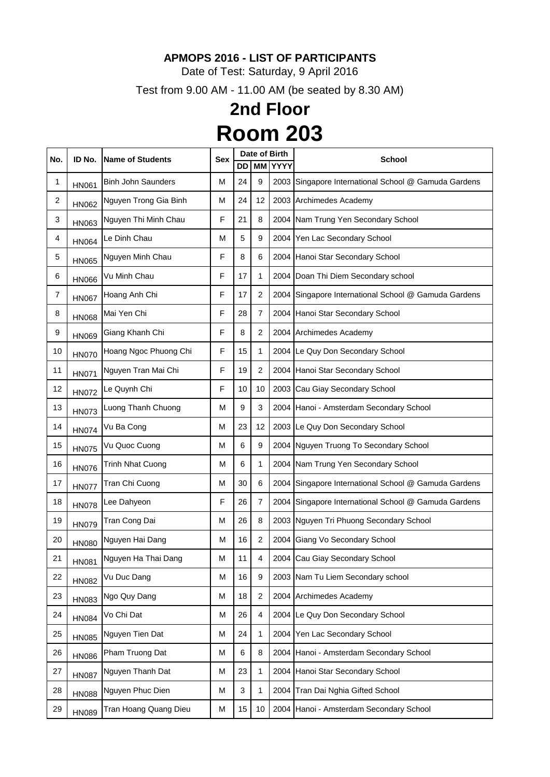Date of Test: Saturday, 9 April 2016

Test from 9.00 AM - 11.00 AM (be seated by 8.30 AM)

### **2nd Floor Room 203**

| No. | ID No.       | <b>Name of Students</b>   | <b>Sex</b> |    |                | Date of Birth | <b>School</b>                                        |
|-----|--------------|---------------------------|------------|----|----------------|---------------|------------------------------------------------------|
|     |              |                           |            | DD | <b>MM</b>      | <b>YYYY</b>   |                                                      |
| 1   | <b>HN061</b> | <b>Binh John Saunders</b> | M          | 24 | 9              |               | 2003 Singapore International School @ Gamuda Gardens |
| 2   | <b>HN062</b> | Nguyen Trong Gia Binh     | M          | 24 | 12             |               | 2003 Archimedes Academy                              |
| 3   | HN063        | Nguyen Thi Minh Chau      | F          | 21 | 8              |               | 2004 Nam Trung Yen Secondary School                  |
| 4   | <b>HN064</b> | Le Dinh Chau              | M          | 5  | 9              |               | 2004 Yen Lac Secondary School                        |
| 5   | <b>HN065</b> | Nguyen Minh Chau          | F          | 8  | 6              |               | 2004 Hanoi Star Secondary School                     |
| 6   | <b>HN066</b> | Vu Minh Chau              | F          | 17 | 1              |               | 2004 Doan Thi Diem Secondary school                  |
| 7   | <b>HN067</b> | Hoang Anh Chi             | F          | 17 | $\overline{2}$ |               | 2004 Singapore International School @ Gamuda Gardens |
| 8   | <b>HN068</b> | Mai Yen Chi               | F          | 28 | 7              |               | 2004 Hanoi Star Secondary School                     |
| 9   | <b>HN069</b> | Giang Khanh Chi           | F          | 8  | $\overline{2}$ |               | 2004 Archimedes Academy                              |
| 10  | <b>HN070</b> | Hoang Ngoc Phuong Chi     | F          | 15 | 1              |               | 2004 Le Quy Don Secondary School                     |
| 11  | <b>HN071</b> | Nguyen Tran Mai Chi       | F          | 19 | 2              |               | 2004 Hanoi Star Secondary School                     |
| 12  | <b>HN072</b> | Le Quynh Chi              | F          | 10 | 10             |               | 2003 Cau Giay Secondary School                       |
| 13  | <b>HN073</b> | Luong Thanh Chuong        | M          | 9  | 3              |               | 2004   Hanoi - Amsterdam Secondary School            |
| 14  | <b>HN074</b> | Vu Ba Cong                | M          | 23 | 12             |               | 2003 Le Quy Don Secondary School                     |
| 15  | <b>HN075</b> | Vu Quoc Cuong             | M          | 6  | 9              |               | 2004 Nguyen Truong To Secondary School               |
| 16  | <b>HN076</b> | <b>Trinh Nhat Cuong</b>   | M          | 6  | 1              |               | 2004 Nam Trung Yen Secondary School                  |
| 17  | <b>HN077</b> | Tran Chi Cuong            | M          | 30 | 6              |               | 2004 Singapore International School @ Gamuda Gardens |
| 18  |              | HN078 Lee Dahyeon         | F          | 26 | 7              |               | 2004 Singapore International School @ Gamuda Gardens |
| 19  | <b>HN079</b> | Tran Cong Dai             | M          | 26 | 8              |               | 2003 Nguyen Tri Phuong Secondary School              |
| 20  | <b>HN080</b> | Nguyen Hai Dang           | M          | 16 | $\overline{2}$ |               | 2004 Giang Vo Secondary School                       |
| 21  | <b>HN081</b> | Nguyen Ha Thai Dang       | M          | 11 | 4              |               | 2004 Cau Giay Secondary School                       |
| 22  | <b>HN082</b> | Vu Duc Dang               | M          | 16 | $9\,$          |               | 2003 Nam Tu Liem Secondary school                    |
| 23  | <b>HN083</b> | Ngo Quy Dang              | M          | 18 | $\overline{2}$ |               | 2004 Archimedes Academy                              |
| 24  | <b>HN084</b> | Vo Chi Dat                | M          | 26 | 4              |               | 2004 Le Quy Don Secondary School                     |
| 25  | <b>HN085</b> | Nguyen Tien Dat           | M          | 24 | 1              | 2004          | Yen Lac Secondary School                             |
| 26  | <b>HN086</b> | Pham Truong Dat           | M          | 6  | 8              |               | 2004 Hanoi - Amsterdam Secondary School              |
| 27  | <b>HN087</b> | Nguyen Thanh Dat          | M          | 23 | 1              |               | 2004 Hanoi Star Secondary School                     |
| 28  | <b>HN088</b> | Nguyen Phuc Dien          | M          | 3  | 1              | 2004          | Tran Dai Nghia Gifted School                         |
| 29  | <b>HN089</b> | Tran Hoang Quang Dieu     | M          | 15 | 10             |               | 2004 Hanoi - Amsterdam Secondary School              |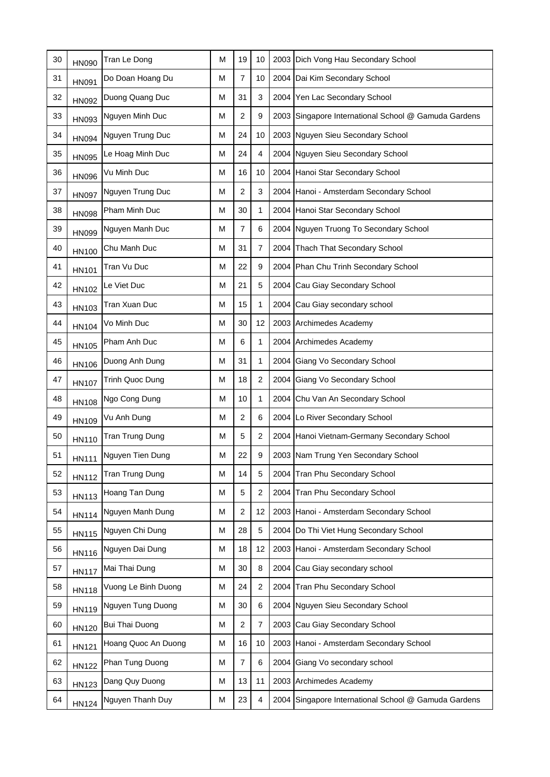| 30 | <b>HN090</b> | Tran Le Dong          | M | 19             | 10             |      | 2003 Dich Vong Hau Secondary School                  |
|----|--------------|-----------------------|---|----------------|----------------|------|------------------------------------------------------|
| 31 | <b>HN091</b> | Do Doan Hoang Du      | M | $\overline{7}$ | 10             |      | 2004 Dai Kim Secondary School                        |
| 32 | <b>HN092</b> | Duong Quang Duc       | M | 31             | 3              |      | 2004 Yen Lac Secondary School                        |
| 33 | HN093        | Nguyen Minh Duc       | M | $\overline{2}$ | 9              |      | 2003 Singapore International School @ Gamuda Gardens |
| 34 | <b>HN094</b> | Nguyen Trung Duc      | M | 24             | 10             |      | 2003 Nguyen Sieu Secondary School                    |
| 35 | <b>HN095</b> | Le Hoag Minh Duc      | Μ | 24             | 4              |      | 2004 Nguyen Sieu Secondary School                    |
| 36 | <b>HN096</b> | Vu Minh Duc           | M | 16             | 10             |      | 2004 Hanoi Star Secondary School                     |
| 37 | <b>HN097</b> | Nguyen Trung Duc      | Μ | $\overline{2}$ | 3              |      | 2004 Hanoi - Amsterdam Secondary School              |
| 38 | <b>HN098</b> | Pham Minh Duc         | M | 30             | 1              |      | 2004 Hanoi Star Secondary School                     |
| 39 | <b>HN099</b> | Nguyen Manh Duc       | M | 7              | 6              |      | 2004 Nguyen Truong To Secondary School               |
| 40 | <b>HN100</b> | Chu Manh Duc          | M | 31             | 7              |      | 2004 Thach That Secondary School                     |
| 41 | <b>HN101</b> | Tran Vu Duc           | M | 22             | 9              |      | 2004 Phan Chu Trinh Secondary School                 |
| 42 | <b>HN102</b> | Le Viet Duc           | Μ | 21             | 5              |      | 2004 Cau Giay Secondary School                       |
| 43 | HN103        | Tran Xuan Duc         | M | 15             | 1              |      | 2004 Cau Giay secondary school                       |
| 44 | <b>HN104</b> | Vo Minh Duc           | M | 30             | 12             |      | 2003 Archimedes Academy                              |
| 45 | <b>HN105</b> | Pham Anh Duc          | M | 6              | 1              |      | 2004 Archimedes Academy                              |
| 46 | <b>HN106</b> | Duong Anh Dung        | M | 31             | 1              | 2004 | Giang Vo Secondary School                            |
| 47 | <b>HN107</b> | Trinh Quoc Dung       | M | 18             | 2              | 2004 | Giang Vo Secondary School                            |
| 48 | <b>HN108</b> | Ngo Cong Dung         | М | 10             | 1              |      | 2004 Chu Van An Secondary School                     |
| 49 | HN109        | Vu Anh Dung           | M | $\overline{2}$ | 6              |      | 2004 Lo River Secondary School                       |
| 50 | <b>HN110</b> | Tran Trung Dung       | M | 5              | $\overline{2}$ |      | 2004 Hanoi Vietnam-Germany Secondary School          |
| 51 | <b>HN111</b> | Nguyen Tien Dung      | M | 22             | 9              |      | 2003 Nam Trung Yen Secondary School                  |
| 52 | <b>HN112</b> | Tran Trung Dung       | M | 14             | 5              |      | 2004 Tran Phu Secondary School                       |
| 53 | <b>HN113</b> | Hoang Tan Dung        | M | 5              | $\overline{2}$ |      | 2004 Tran Phu Secondary School                       |
| 54 | <b>HN114</b> | Nguyen Manh Dung      | M | $\overline{2}$ | 12             |      | 2003 Hanoi - Amsterdam Secondary School              |
| 55 | <b>HN115</b> | Nguyen Chi Dung       | M | 28             | 5              |      | 2004 Do Thi Viet Hung Secondary School               |
| 56 | <b>HN116</b> | Nguyen Dai Dung       | M | 18             | 12             |      | 2003 Hanoi - Amsterdam Secondary School              |
| 57 | <b>HN117</b> | Mai Thai Dung         | M | 30             | 8              |      | 2004 Cau Giay secondary school                       |
| 58 | <b>HN118</b> | Vuong Le Binh Duong   | M | 24             | $\overline{2}$ |      | 2004 Tran Phu Secondary School                       |
| 59 | HN119        | Nguyen Tung Duong     | M | 30             | 6              |      | 2004 Nguyen Sieu Secondary School                    |
| 60 | <b>HN120</b> | <b>Bui Thai Duong</b> | M | $\overline{2}$ | 7              |      | 2003 Cau Giay Secondary School                       |
| 61 | <b>HN121</b> | Hoang Quoc An Duong   | M | 16             | 10             |      | 2003 Hanoi - Amsterdam Secondary School              |
| 62 | <b>HN122</b> | Phan Tung Duong       | M | 7              | 6              |      | 2004 Giang Vo secondary school                       |
| 63 | <b>HN123</b> | Dang Quy Duong        | M | 13             | 11             |      | 2003 Archimedes Academy                              |
| 64 | <b>HN124</b> | Nguyen Thanh Duy      | М | 23             | 4              | 2004 | Singapore International School @ Gamuda Gardens      |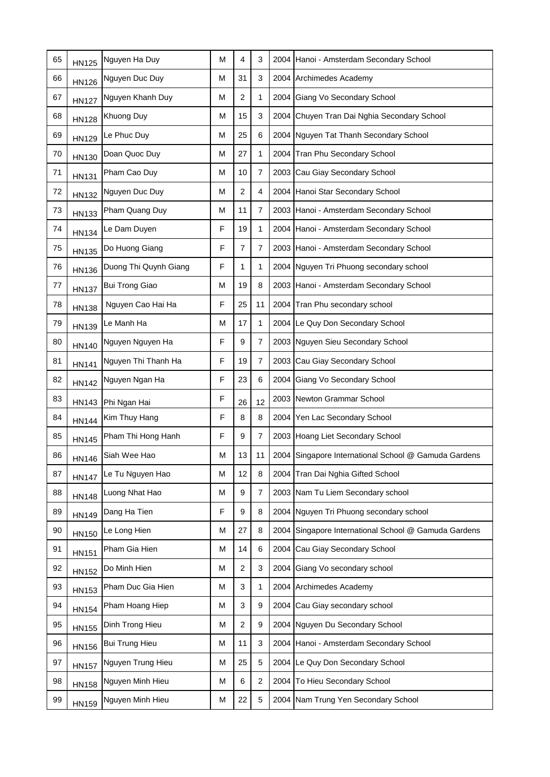| 65 | <b>HN125</b> | Nguyen Ha Duy         | M | 4              | 3              |      | 2004 Hanoi - Amsterdam Secondary School              |
|----|--------------|-----------------------|---|----------------|----------------|------|------------------------------------------------------|
| 66 | <b>HN126</b> | Nguyen Duc Duy        | M | 31             | 3              |      | 2004 Archimedes Academy                              |
| 67 | <b>HN127</b> | Nguyen Khanh Duy      | М | $\overline{2}$ | 1              |      | 2004 Giang Vo Secondary School                       |
| 68 | <b>HN128</b> | Khuong Duy            | M | 15             | 3              |      | 2004 Chuyen Tran Dai Nghia Secondary School          |
| 69 | <b>HN129</b> | Le Phuc Duy           | M | 25             | 6              |      | 2004 Nguyen Tat Thanh Secondary School               |
| 70 | <b>HN130</b> | Doan Quoc Duy         | М | 27             | 1              |      | 2004 Tran Phu Secondary School                       |
| 71 | <b>HN131</b> | Pham Cao Duy          | M | 10             | $\overline{7}$ |      | 2003 Cau Giay Secondary School                       |
| 72 | <b>HN132</b> | Nguyen Duc Duy        | М | $\overline{2}$ | 4              |      | 2004 Hanoi Star Secondary School                     |
| 73 | <b>HN133</b> | Pham Quang Duy        | M | 11             | $\overline{7}$ |      | 2003   Hanoi - Amsterdam Secondary School            |
| 74 | <b>HN134</b> | Le Dam Duyen          | F | 19             | 1              |      | 2004   Hanoi - Amsterdam Secondary School            |
| 75 | <b>HN135</b> | Do Huong Giang        | F | 7              | $\overline{7}$ |      | 2003 Hanoi - Amsterdam Secondary School              |
| 76 | <b>HN136</b> | Duong Thi Quynh Giang | F | 1              | 1              |      | 2004 Nguyen Tri Phuong secondary school              |
| 77 | <b>HN137</b> | <b>Bui Trong Giao</b> | Μ | 19             | 8              |      | 2003 Hanoi - Amsterdam Secondary School              |
| 78 | <b>HN138</b> | Nguyen Cao Hai Ha     | F | 25             | 11             |      | 2004 Tran Phu secondary school                       |
| 79 | HN139        | Le Manh Ha            | M | 17             | 1              |      | 2004 Le Quy Don Secondary School                     |
| 80 | <b>HN140</b> | Nguyen Nguyen Ha      | F | 9              | $\overline{7}$ |      | 2003 Nguyen Sieu Secondary School                    |
| 81 | <b>HN141</b> | Nguyen Thi Thanh Ha   | F | 19             | $\overline{7}$ |      | 2003 Cau Giay Secondary School                       |
| 82 | <b>HN142</b> | Nguyen Ngan Ha        | F | 23             | 6              | 2004 | Giang Vo Secondary School                            |
| 83 |              | HN143 Phi Ngan Hai    | F | 26             | 12             |      | 2003 Newton Grammar School                           |
| 84 | <b>HN144</b> | Kim Thuy Hang         | F | 8              | 8              |      | 2004 Yen Lac Secondary School                        |
| 85 | <b>HN145</b> | Pham Thi Hong Hanh    | F | 9              | $\overline{7}$ |      | 2003 Hoang Liet Secondary School                     |
| 86 | <b>HN146</b> | Siah Wee Hao          | M | 13             | 11             |      | 2004 Singapore International School @ Gamuda Gardens |
| 87 | <b>HN147</b> | Le Tu Nguyen Hao      | M | 12             | 8              |      | 2004 Tran Dai Nghia Gifted School                    |
| 88 | <b>HN148</b> | Luong Nhat Hao        | M | 9              | 7              |      | 2003 Nam Tu Liem Secondary school                    |
| 89 | <b>HN149</b> | Dang Ha Tien          | F | 9              | 8              |      | 2004 Nguyen Tri Phuong secondary school              |
| 90 | <b>HN150</b> | Le Long Hien          | M | 27             | 8              |      | 2004 Singapore International School @ Gamuda Gardens |
| 91 | <b>HN151</b> | Pham Gia Hien         | M | 14             | 6              |      | 2004 Cau Giay Secondary School                       |
| 92 | <b>HN152</b> | Do Minh Hien          | M | $\overline{2}$ | 3              |      | 2004 Giang Vo secondary school                       |
| 93 | <b>HN153</b> | Pham Duc Gia Hien     | М | 3              | 1              |      | 2004 Archimedes Academy                              |
| 94 | <b>HN154</b> | Pham Hoang Hiep       | M | 3              | 9              |      | 2004 Cau Giay secondary school                       |
| 95 | <b>HN155</b> | Dinh Trong Hieu       | M | $\overline{2}$ | 9              |      | 2004 Nguyen Du Secondary School                      |
| 96 | <b>HN156</b> | <b>Bui Trung Hieu</b> | M | 11             | $\mathbf{3}$   |      | 2004 Hanoi - Amsterdam Secondary School              |
| 97 | <b>HN157</b> | Nguyen Trung Hieu     | M | 25             | 5              |      | 2004 Le Quy Don Secondary School                     |
| 98 | <b>HN158</b> | Nguyen Minh Hieu      | M | $\,6$          | $\overline{2}$ |      | 2004 To Hieu Secondary School                        |
| 99 | <b>HN159</b> | Nguyen Minh Hieu      | M | 22             | $\sqrt{5}$     |      | 2004 Nam Trung Yen Secondary School                  |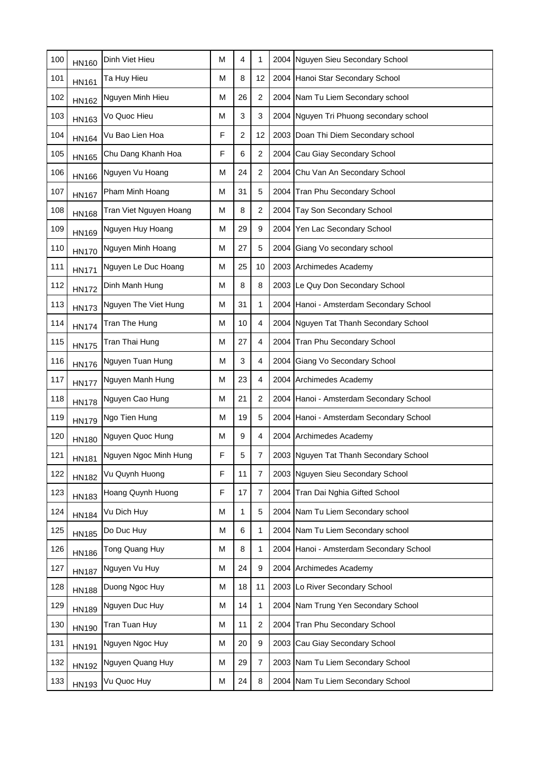| 100 | <b>HN160</b> | Dinh Viet Hieu         | M | 4              | 1                | 2004 Nguyen Sieu Secondary School       |
|-----|--------------|------------------------|---|----------------|------------------|-----------------------------------------|
| 101 | <b>HN161</b> | Ta Huy Hieu            | M | 8              | 12               | 2004 Hanoi Star Secondary School        |
| 102 | <b>HN162</b> | Nguyen Minh Hieu       | M | 26             | $\overline{2}$   | 2004 Nam Tu Liem Secondary school       |
| 103 | HN163        | Vo Quoc Hieu           | M | 3              | 3                | 2004 Nguyen Tri Phuong secondary school |
| 104 | <b>HN164</b> | Vu Bao Lien Hoa        | F | $\overline{2}$ | 12               | 2003 Doan Thi Diem Secondary school     |
| 105 | <b>HN165</b> | Chu Dang Khanh Hoa     | F | 6              | $\overline{2}$   | 2004 Cau Giay Secondary School          |
| 106 | <b>HN166</b> | Nguyen Vu Hoang        | M | 24             | $\overline{2}$   | 2004 Chu Van An Secondary School        |
| 107 | <b>HN167</b> | Pham Minh Hoang        | М | 31             | 5                | 2004 Tran Phu Secondary School          |
| 108 | <b>HN168</b> | Tran Viet Nguyen Hoang | М | 8              | $\overline{2}$   | 2004 Tay Son Secondary School           |
| 109 | <b>HN169</b> | Nguyen Huy Hoang       | M | 29             | 9                | 2004 Yen Lac Secondary School           |
| 110 | <b>HN170</b> | Nguyen Minh Hoang      | M | 27             | 5                | 2004 Giang Vo secondary school          |
| 111 | <b>HN171</b> | Nguyen Le Duc Hoang    | М | 25             | 10               | 2003 Archimedes Academy                 |
| 112 | <b>HN172</b> | Dinh Manh Hung         | М | 8              | 8                | 2003 Le Quy Don Secondary School        |
| 113 | <b>HN173</b> | Nguyen The Viet Hung   | М | 31             | 1                | 2004 Hanoi - Amsterdam Secondary School |
| 114 | <b>HN174</b> | Tran The Hung          | M | 10             | 4                | 2004 Nguyen Tat Thanh Secondary School  |
| 115 | <b>HN175</b> | Tran Thai Hung         | M | 27             | 4                | 2004 Tran Phu Secondary School          |
| 116 | <b>HN176</b> | Nguyen Tuan Hung       | M | 3              | 4                | 2004 Giang Vo Secondary School          |
| 117 | <b>HN177</b> | Nguyen Manh Hung       | M | 23             | 4                | 2004 Archimedes Academy                 |
| 118 | <b>HN178</b> | Nguyen Cao Hung        | M | 21             | 2                | 2004 Hanoi - Amsterdam Secondary School |
| 119 | <b>HN179</b> | Ngo Tien Hung          | M | 19             | 5                | 2004 Hanoi - Amsterdam Secondary School |
| 120 | <b>HN180</b> | Nguyen Quoc Hung       | M | 9              | 4                | 2004 Archimedes Academy                 |
| 121 | <b>HN181</b> | Nguyen Ngoc Minh Hung  | F | 5              | $\overline{7}$   | 2003 Nguyen Tat Thanh Secondary School  |
| 122 | <b>HN182</b> | Vu Quynh Huong         | F | 11             | 7                | 2003 Nguyen Sieu Secondary School       |
| 123 | HN183        | Hoang Quynh Huong      | F | 17             | 7                | 2004 Tran Dai Nghia Gifted School       |
| 124 | <b>HN184</b> | Vu Dich Huy            | M | 1              | 5                | 2004 Nam Tu Liem Secondary school       |
| 125 | <b>HN185</b> | Do Duc Huy             | M | 6              | 1                | 2004 Nam Tu Liem Secondary school       |
| 126 | <b>HN186</b> | Tong Quang Huy         | M | 8              | 1                | 2004 Hanoi - Amsterdam Secondary School |
| 127 | <b>HN187</b> | Nguyen Vu Huy          | M | 24             | 9                | 2004 Archimedes Academy                 |
| 128 | <b>HN188</b> | Duong Ngoc Huy         | M | 18             | 11               | 2003 Lo River Secondary School          |
| 129 | <b>HN189</b> | Nguyen Duc Huy         | M | 14             | 1                | 2004 Nam Trung Yen Secondary School     |
| 130 | <b>HN190</b> | Tran Tuan Huy          | M | 11             | $\overline{2}$   | 2004 Tran Phu Secondary School          |
| 131 | <b>HN191</b> | Nguyen Ngoc Huy        | M | 20             | $\boldsymbol{9}$ | 2003 Cau Giay Secondary School          |
| 132 | <b>HN192</b> | Nguyen Quang Huy       | M | 29             | 7                | 2003 Nam Tu Liem Secondary School       |
| 133 | HN193        | Vu Quoc Huy            | M | 24             | 8                | 2004 Nam Tu Liem Secondary School       |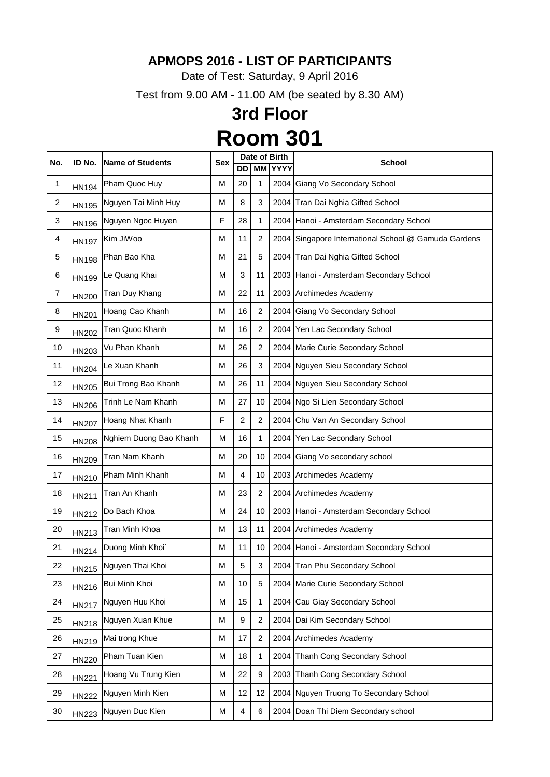Date of Test: Saturday, 9 April 2016

Test from 9.00 AM - 11.00 AM (be seated by 8.30 AM)

|     |              | <b>Name of Students</b> |            |    |                | Date of Birth |                                                      |
|-----|--------------|-------------------------|------------|----|----------------|---------------|------------------------------------------------------|
| No. | ID No.       |                         | <b>Sex</b> | DD | MМ             | <b>YYYY</b>   | <b>School</b>                                        |
| 1   | <b>HN194</b> | Pham Quoc Huy           | M          | 20 | 1              | 2004          | Giang Vo Secondary School                            |
| 2   | <b>HN195</b> | Nguyen Tai Minh Huy     | M          | 8  | 3              | 2004          | Tran Dai Nghia Gifted School                         |
| 3   | <b>HN196</b> | Nguyen Ngoc Huyen       | F          | 28 | 1              |               | 2004 Hanoi - Amsterdam Secondary School              |
| 4   | <b>HN197</b> | Kim JiWoo               | M          | 11 | 2              |               | 2004 Singapore International School @ Gamuda Gardens |
| 5   | <b>HN198</b> | Phan Bao Kha            | M          | 21 | 5              |               | 2004 Tran Dai Nghia Gifted School                    |
| 6   | HN199        | Le Quang Khai           | M          | 3  | 11             |               | 2003 Hanoi - Amsterdam Secondary School              |
| 7   | <b>HN200</b> | Tran Duy Khang          | M          | 22 | 11             |               | 2003 Archimedes Academy                              |
| 8   | <b>HN201</b> | Hoang Cao Khanh         | M          | 16 | 2              |               | 2004 Giang Vo Secondary School                       |
| 9   | <b>HN202</b> | Tran Quoc Khanh         | М          | 16 | $\overline{2}$ |               | 2004 Yen Lac Secondary School                        |
| 10  | HN203        | Vu Phan Khanh           | M          | 26 | 2              |               | 2004 Marie Curie Secondary School                    |
| 11  | <b>HN204</b> | Le Xuan Khanh           | M          | 26 | 3              |               | 2004 Nguyen Sieu Secondary School                    |
| 12  | <b>HN205</b> | Bui Trong Bao Khanh     | M          | 26 | 11             |               | 2004 Nguyen Sieu Secondary School                    |
| 13  | <b>HN206</b> | Trinh Le Nam Khanh      | M          | 27 | 10             |               | 2004 Ngo Si Lien Secondary School                    |
| 14  | <b>HN207</b> | Hoang Nhat Khanh        | F          | 2  | 2              |               | 2004 Chu Van An Secondary School                     |
| 15  | <b>HN208</b> | Nghiem Duong Bao Khanh  | M          | 16 | 1              |               | 2004 Yen Lac Secondary School                        |
| 16  | HN209        | Tran Nam Khanh          | M          | 20 | 10             |               | 2004 Giang Vo secondary school                       |
| 17  | HN210        | Pham Minh Khanh         | М          | 4  | 10             |               | 2003 Archimedes Academy                              |
| 18  | HN211        | Tran An Khanh           | M          | 23 | 2              |               | 2004 Archimedes Academy                              |
| 19  | HN212        | Do Bach Khoa            | M          | 24 | 10             |               | 2003 Hanoi - Amsterdam Secondary School              |
| 20  | HN213        | Tran Minh Khoa          | M          | 13 | 11             |               | 2004 Archimedes Academy                              |
| 21  | <b>HN214</b> | Duong Minh Khoi`        | м          | 11 | 10             |               | 2004 Hanoi - Amsterdam Secondary School              |
| 22  | <b>HN215</b> | Nguyen Thai Khoi        | M          | 5  | 3              |               | 2004 Tran Phu Secondary School                       |
| 23  | HN216        | Bui Minh Khoi           | M          | 10 | 5              |               | 2004 Marie Curie Secondary School                    |
| 24  | <b>HN217</b> | Nguyen Huu Khoi         | M          | 15 | 1              | 2004          | Cau Giay Secondary School                            |
| 25  | HN218        | Nguyen Xuan Khue        | M          | 9  | 2              |               | 2004 Dai Kim Secondary School                        |
| 26  | HN219        | Mai trong Khue          | M          | 17 | $\overline{2}$ |               | 2004 Archimedes Academy                              |
| 27  | <b>HN220</b> | Pham Tuan Kien          | M          | 18 | 1              |               | 2004 Thanh Cong Secondary School                     |
| 28  | <b>HN221</b> | Hoang Vu Trung Kien     | M          | 22 | 9              |               | 2003 Thanh Cong Secondary School                     |
| 29  | <b>HN222</b> | Nguyen Minh Kien        | M          | 12 | 12             |               | 2004 Nguyen Truong To Secondary School               |
| 30  | HN223        | Nguyen Duc Kien         | М          | 4  | 6              |               | 2004 Doan Thi Diem Secondary school                  |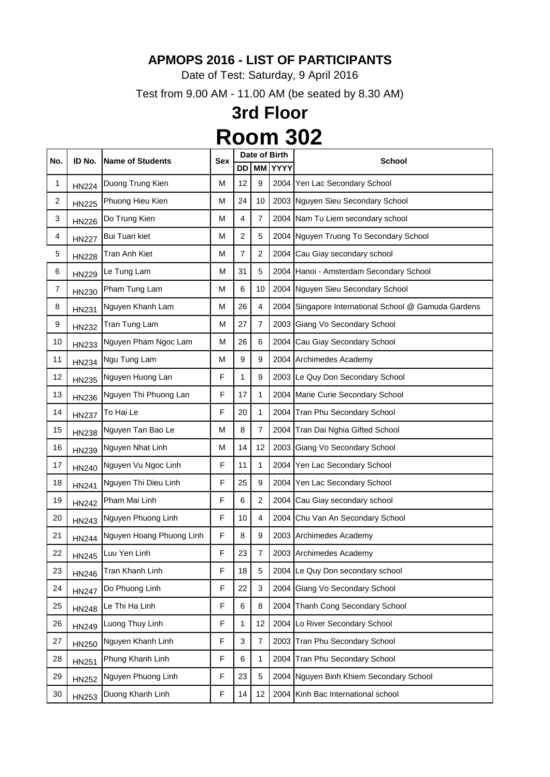Date of Test: Saturday, 9 April 2016

Test from 9.00 AM - 11.00 AM (be seated by 8.30 AM)

| No.            | ID No.       | <b>Name of Students</b>  | <b>Sex</b> |                |                | Date of Birth | <b>School</b>                                        |
|----------------|--------------|--------------------------|------------|----------------|----------------|---------------|------------------------------------------------------|
|                |              |                          |            | DD             | <b>MM</b>      | <b>YYYY</b>   |                                                      |
| 1              | <b>HN224</b> | Duong Trung Kien         | M          | 12             | 9              |               | 2004 Yen Lac Secondary School                        |
| $\overline{2}$ | <b>HN225</b> | Phuong Hieu Kien         | M          | 24             | 10             |               | 2003 Nguyen Sieu Secondary School                    |
| 3              | <b>HN226</b> | Do Trung Kien            | M          | 4              | $\overline{7}$ |               | 2004 Nam Tu Liem secondary school                    |
| 4              | <b>HN227</b> | <b>Bui Tuan kiet</b>     | M          | $\overline{2}$ | 5              |               | 2004 Nguyen Truong To Secondary School               |
| 5              | <b>HN228</b> | Tran Anh Kiet            | M          | $\overline{7}$ | $\overline{2}$ |               | 2004 Cau Giay secondary school                       |
| 6              | <b>HN229</b> | Le Tung Lam              | М          | 31             | 5              |               | 2004 Hanoi - Amsterdam Secondary School              |
| $\overline{7}$ | HN230        | Pham Tung Lam            | M          | 6              | 10             |               | 2004 Nguyen Sieu Secondary School                    |
| 8              | <b>HN231</b> | Nguyen Khanh Lam         | M          | 26             | 4              |               | 2004 Singapore International School @ Gamuda Gardens |
| 9              | <b>HN232</b> | Tran Tung Lam            | M          | 27             | $\overline{7}$ |               | 2003 Giang Vo Secondary School                       |
| 10             | <b>HN233</b> | Nguyen Pham Ngoc Lam     | M          | 26             | 6              |               | 2004 Cau Giay Secondary School                       |
| 11             | <b>HN234</b> | Ngu Tung Lam             | M          | 9              | 9              |               | 2004 Archimedes Academy                              |
| 12             | <b>HN235</b> | Nguyen Huong Lan         | F          | 1              | 9              |               | 2003 Le Quy Don Secondary School                     |
| 13             | <b>HN236</b> | Nguyen Thi Phuong Lan    | F          | 17             | 1              |               | 2004 Marie Curie Secondary School                    |
| 14             | <b>HN237</b> | To Hai Le                | F          | 20             | 1              |               | 2004 Tran Phu Secondary School                       |
| 15             | <b>HN238</b> | Nguyen Tan Bao Le        | M          | 8              | $\overline{7}$ |               | 2004 Tran Dai Nghia Gifted School                    |
| 16             | <b>HN239</b> | Nguyen Nhat Linh         | M          | 14             | 12             |               | 2003 Giang Vo Secondary School                       |
| 17             | <b>HN240</b> | Nguyen Vu Ngoc Linh      | F          | 11             | 1              |               | 2004 Yen Lac Secondary School                        |
| 18             | <b>HN241</b> | Nguyen Thi Dieu Linh     | F          | 25             | 9              |               | 2004 Yen Lac Secondary School                        |
| 19             | <b>HN242</b> | Pham Mai Linh            | F          | 6              | $\overline{2}$ |               | 2004 Cau Giay secondary school                       |
| 20             | <b>HN243</b> | Nguyen Phuong Linh       | F          | 10             | 4              | 2004          | Chu Van An Secondary School                          |
| 21             | <b>HN244</b> | Nguyen Hoang Phuong Linh | F          | 8              | 9              |               | 2003 Archimedes Academy                              |
| 22             | <b>HN245</b> | Luu Yen Linh             | F          | 23             | $\overline{7}$ |               | 2003 Archimedes Academy                              |
| 23             | HN246        | Tran Khanh Linh          | F          | 18             | 5              | 2004          | Le Quy Don secondary school                          |
| 24             | <b>HN247</b> | Do Phuong Linh           | F          | 22             | 3              |               | 2004 Giang Vo Secondary School                       |
| 25             | <b>HN248</b> | Le Thi Ha Linh           | F          | 6              | 8              |               | 2004 Thanh Cong Secondary School                     |
| 26             | HN249        | Luong Thuy Linh          | F          | 1              | 12             | 2004          | Lo River Secondary School                            |
| 27             | HN250        | Nguyen Khanh Linh        | F          | 3              | $\overline{7}$ |               | 2003 Tran Phu Secondary School                       |
| 28             | <b>HN251</b> | Phung Khanh Linh         | F          | 6              | 1              |               | 2004 Tran Phu Secondary School                       |
| 29             | <b>HN252</b> | Nguyen Phuong Linh       | F          | 23             | 5              | 2004          | Nguyen Binh Khiem Secondary School                   |
| 30             | HN253        | Duong Khanh Linh         | F          | 14             | 12             |               | 2004 Kinh Bac International school                   |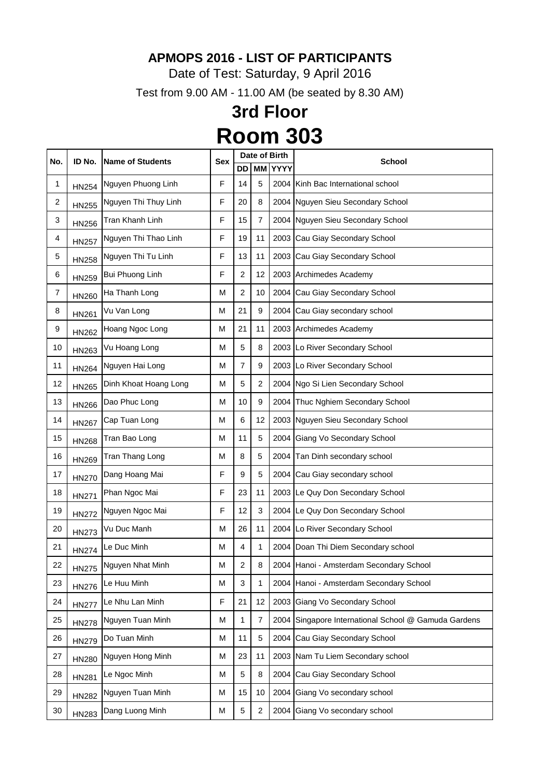Date of Test: Saturday, 9 April 2016

Test from 9.00 AM - 11.00 AM (be seated by 8.30 AM)

| No. | ID No.       | <b>Name of Students</b> | <b>Sex</b> |                |                | Date of Birth | <b>School</b>                                        |
|-----|--------------|-------------------------|------------|----------------|----------------|---------------|------------------------------------------------------|
|     |              |                         |            | <b>DD</b>      | <b>MM</b>      | <b>YYYY</b>   |                                                      |
| 1   | <b>HN254</b> | Nguyen Phuong Linh      | F          | 14             | 5              | 2004          | Kinh Bac International school                        |
| 2   | <b>HN255</b> | Nguyen Thi Thuy Linh    | F          | 20             | 8              |               | 2004 Nguyen Sieu Secondary School                    |
| 3   | <b>HN256</b> | Tran Khanh Linh         | F          | 15             | 7              |               | 2004 Nguyen Sieu Secondary School                    |
| 4   | <b>HN257</b> | Nguyen Thi Thao Linh    | F          | 19             | 11             |               | 2003 Cau Giay Secondary School                       |
| 5   | <b>HN258</b> | Nguyen Thi Tu Linh      | F          | 13             | 11             |               | 2003 Cau Giay Secondary School                       |
| 6   | HN259        | Bui Phuong Linh         | F          | $\overline{2}$ | 12             |               | 2003 Archimedes Academy                              |
| 7   | <b>HN260</b> | Ha Thanh Long           | M          | 2              | 10             |               | 2004 Cau Giay Secondary School                       |
| 8   | <b>HN261</b> | Vu Van Long             | M          | 21             | 9              |               | 2004 Cau Giay secondary school                       |
| 9   | <b>HN262</b> | Hoang Ngoc Long         | M          | 21             | 11             |               | 2003 Archimedes Academy                              |
| 10  | HN263        | Vu Hoang Long           | M          | 5              | 8              |               | 2003 Lo River Secondary School                       |
| 11  | <b>HN264</b> | Nguyen Hai Long         | M          | 7              | 9              |               | 2003 Lo River Secondary School                       |
| 12  | <b>HN265</b> | Dinh Khoat Hoang Long   | M          | 5              | $\overline{2}$ |               | 2004 Ngo Si Lien Secondary School                    |
| 13  | <b>HN266</b> | Dao Phuc Long           | M          | 10             | 9              |               | 2004 Thuc Nghiem Secondary School                    |
| 14  | <b>HN267</b> | Cap Tuan Long           | M          | 6              | 12             |               | 2003 Nguyen Sieu Secondary School                    |
| 15  | <b>HN268</b> | Tran Bao Long           | M          | 11             | 5              |               | 2004 Giang Vo Secondary School                       |
| 16  | <b>HN269</b> | Tran Thang Long         | M          | 8              | 5              | 2004          | Tan Dinh secondary school                            |
| 17  | <b>HN270</b> | Dang Hoang Mai          | F          | 9              | 5              |               | 2004 Cau Giay secondary school                       |
| 18  | <b>HN271</b> | Phan Ngoc Mai           | F          | 23             | 11             |               | 2003 Le Quy Don Secondary School                     |
| 19  | <b>HN272</b> | Nguyen Ngoc Mai         | ۲          | 12             | 3              |               | 2004 Le Quy Don Secondary School                     |
| 20  | <b>HN273</b> | Vu Duc Manh             | M          | 26             | 11             |               | 2004 Lo River Secondary School                       |
| 21  | <b>HN274</b> | Le Duc Minh             | M          | 4              | 1              |               | 2004 Doan Thi Diem Secondary school                  |
| 22  | <b>HN275</b> | Nguyen Nhat Minh        | M          | $\overline{2}$ | 8              |               | 2004 Hanoi - Amsterdam Secondary School              |
| 23  | <b>HN276</b> | Le Huu Minh             | M          | 3              | 1              |               | 2004 Hanoi - Amsterdam Secondary School              |
| 24  | <b>HN277</b> | Le Nhu Lan Minh         | F          | 21             | 12             |               | 2003 Giang Vo Secondary School                       |
| 25  | <b>HN278</b> | Nguyen Tuan Minh        | M          | 1              | $\overline{7}$ |               | 2004 Singapore International School @ Gamuda Gardens |
| 26  | <b>HN279</b> | Do Tuan Minh            | M          | 11             | 5              |               | 2004 Cau Giay Secondary School                       |
| 27  | <b>HN280</b> | Nguyen Hong Minh        | M          | 23             | 11             |               | 2003 Nam Tu Liem Secondary school                    |
| 28  | <b>HN281</b> | Le Ngoc Minh            | М          | 5              | 8              |               | 2004 Cau Giay Secondary School                       |
| 29  | <b>HN282</b> | Nguyen Tuan Minh        | M          | 15             | 10             |               | 2004 Giang Vo secondary school                       |
| 30  | <b>HN283</b> | Dang Luong Minh         | M          | 5              | $\overline{2}$ |               | 2004 Giang Vo secondary school                       |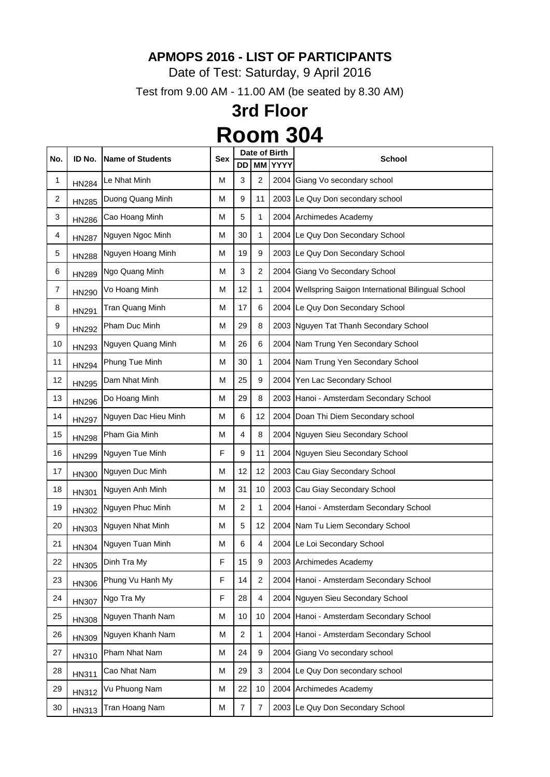Date of Test: Saturday, 9 April 2016

Test from 9.00 AM - 11.00 AM (be seated by 8.30 AM)

|     | ID No.       | <b>Name of Students</b> |            | Date of Birth  |                |                |                                                         |
|-----|--------------|-------------------------|------------|----------------|----------------|----------------|---------------------------------------------------------|
| No. |              |                         | <b>Sex</b> | DD             |                | <b>MM YYYY</b> | <b>School</b>                                           |
| 1   | <b>HN284</b> | Le Nhat Minh            | M          | 3              | 2              | 2004           | Giang Vo secondary school                               |
| 2   | <b>HN285</b> | Duong Quang Minh        | M          | 9              | 11             |                | 2003 Le Quy Don secondary school                        |
| 3   | <b>HN286</b> | Cao Hoang Minh          | М          | 5              | 1              |                | 2004 Archimedes Academy                                 |
| 4   | <b>HN287</b> | Nguyen Ngoc Minh        | M          | 30             | 1              |                | 2004 Le Quy Don Secondary School                        |
| 5   | <b>HN288</b> | Nguyen Hoang Minh       | M          | 19             | 9              |                | 2003 Le Quy Don Secondary School                        |
| 6   | <b>HN289</b> | Ngo Quang Minh          | M          | 3              | $\overline{2}$ |                | 2004 Giang Vo Secondary School                          |
| 7   | <b>HN290</b> | Vo Hoang Minh           | M          | 12             | 1              |                | 2004   Wellspring Saigon International Bilingual School |
| 8   | <b>HN291</b> | Tran Quang Minh         | M          | 17             | 6              |                | 2004 Le Quy Don Secondary School                        |
| 9   | <b>HN292</b> | Pham Duc Minh           | M          | 29             | 8              |                | 2003 Nguyen Tat Thanh Secondary School                  |
| 10  | HN293        | Nguyen Quang Minh       | Μ          | 26             | 6              |                | 2004 Nam Trung Yen Secondary School                     |
| 11  | <b>HN294</b> | Phung Tue Minh          | M          | 30             | 1              |                | 2004 Nam Trung Yen Secondary School                     |
| 12  | <b>HN295</b> | Dam Nhat Minh           | M          | 25             | 9              |                | 2004 Yen Lac Secondary School                           |
| 13  | <b>HN296</b> | Do Hoang Minh           | M          | 29             | 8              |                | 2003 Hanoi - Amsterdam Secondary School                 |
| 14  | <b>HN297</b> | Nguyen Dac Hieu Minh    | М          | 6              | 12             |                | 2004 Doan Thi Diem Secondary school                     |
| 15  | <b>HN298</b> | Pham Gia Minh           | М          | 4              | 8              |                | 2004 Nguyen Sieu Secondary School                       |
| 16  | <b>HN299</b> | Nguyen Tue Minh         | F          | 9              | 11             |                | 2004 Nguyen Sieu Secondary School                       |
| 17  | <b>HN300</b> | Nguyen Duc Minh         | M          | 12             | 12             |                | 2003 Cau Giay Secondary School                          |
| 18  | <b>HN301</b> | Nguyen Anh Minh         | M          | 31             | 10             | 2003           | Cau Giay Secondary School                               |
| 19  | HN302        | Nguyen Phuc Minh        | M          | 2              | 1              |                | 2004 Hanoi - Amsterdam Secondary School                 |
| 20  | HN303        | Nguyen Nhat Minh        | M          | 5              | 12             |                | 2004 Nam Tu Liem Secondary School                       |
| 21  | <b>HN304</b> | Nguyen Tuan Minh        | M          | 6              | 4              |                | 2004 Le Loi Secondary School                            |
| 22  | <b>HN305</b> | Dinh Tra My             | F          | 15             | 9              |                | 2003 Archimedes Academy                                 |
| 23  | <b>HN306</b> | Phung Vu Hanh My        | F          | 14             | $\overline{2}$ |                | 2004 Hanoi - Amsterdam Secondary School                 |
| 24  | <b>HN307</b> | Ngo Tra My              | F          | 28             | 4              |                | 2004 Nguyen Sieu Secondary School                       |
| 25  | <b>HN308</b> | Nguyen Thanh Nam        | M          | 10             | 10             |                | 2004 Hanoi - Amsterdam Secondary School                 |
| 26  | HN309        | Nguyen Khanh Nam        | M          | $\overline{2}$ | 1              |                | 2004 Hanoi - Amsterdam Secondary School                 |
| 27  | HN310        | Pham Nhat Nam           | M          | 24             | 9              |                | 2004 Giang Vo secondary school                          |
| 28  | <b>HN311</b> | Cao Nhat Nam            | М          | 29             | 3              | 2004           | Le Quy Don secondary school                             |
| 29  | <b>HN312</b> | Vu Phuong Nam           | M          | 22             | 10             |                | 2004 Archimedes Academy                                 |
| 30  | HN313        | Tran Hoang Nam          | М          | 7              | 7              |                | 2003 Le Quy Don Secondary School                        |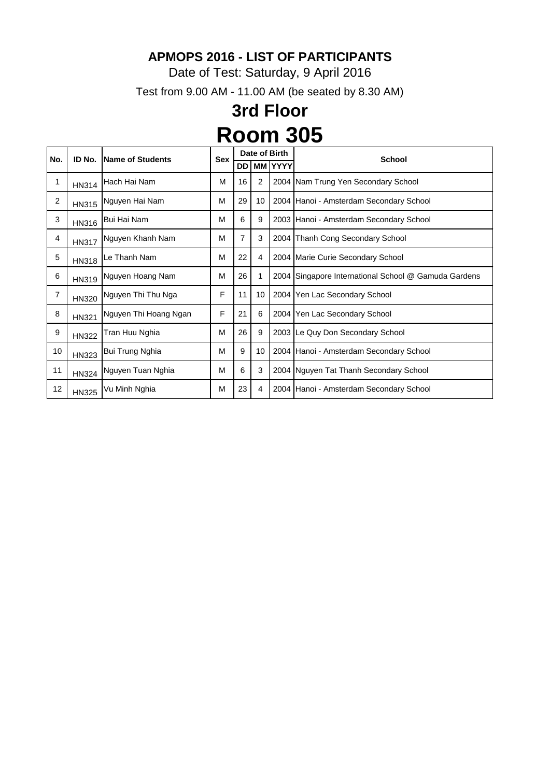Date of Test: Saturday, 9 April 2016

Test from 9.00 AM - 11.00 AM (be seated by 8.30 AM)

| No.            | ID No.       | Name of Students       | <b>Sex</b> | Date of Birth |                |         | <b>School</b>                                        |
|----------------|--------------|------------------------|------------|---------------|----------------|---------|------------------------------------------------------|
|                |              |                        |            | DD            |                | MM YYYY |                                                      |
| 1              | <b>HN314</b> | Hach Hai Nam           | M          | 16            | $\overline{2}$ |         | 2004 Nam Trung Yen Secondary School                  |
| $\overline{2}$ | <b>HN315</b> | Nguyen Hai Nam         | M          | 29            | 10             |         | 2004   Hanoi - Amsterdam Secondary School            |
| 3              | <b>HN316</b> | Bui Hai Nam            | M          | 6             | 9              |         | 2003 Hanoi - Amsterdam Secondary School              |
| 4              | <b>HN317</b> | Nguyen Khanh Nam       | M          | 7             | 3              |         | 2004 Thanh Cong Secondary School                     |
| 5              | <b>HN318</b> | Le Thanh Nam           | М          | 22            | 4              |         | 2004 Marie Curie Secondary School                    |
| 6              | HN319        | Nguyen Hoang Nam       | M          | 26            | 1              |         | 2004 Singapore International School @ Gamuda Gardens |
| 7              | <b>HN320</b> | Nguyen Thi Thu Nga     | F          | 11            | 10             |         | 2004 Yen Lac Secondary School                        |
| 8              | <b>HN321</b> | Nguyen Thi Hoang Ngan  | F          | 21            | 6              |         | 2004 Yen Lac Secondary School                        |
| 9              | <b>HN322</b> | Tran Huu Nghia         | М          | 26            | 9              |         | 2003 Le Quy Don Secondary School                     |
| 10             | <b>HN323</b> | <b>Bui Trung Nghia</b> | M          | 9             | 10             |         | 2004 Hanoi - Amsterdam Secondary School              |
| 11             | <b>HN324</b> | Nguyen Tuan Nghia      | М          | 6             | 3              |         | 2004 Nguyen Tat Thanh Secondary School               |
| 12             | <b>HN325</b> | Vu Minh Nghia          | М          | 23            | 4              |         | 2004 Hanoi - Amsterdam Secondary School              |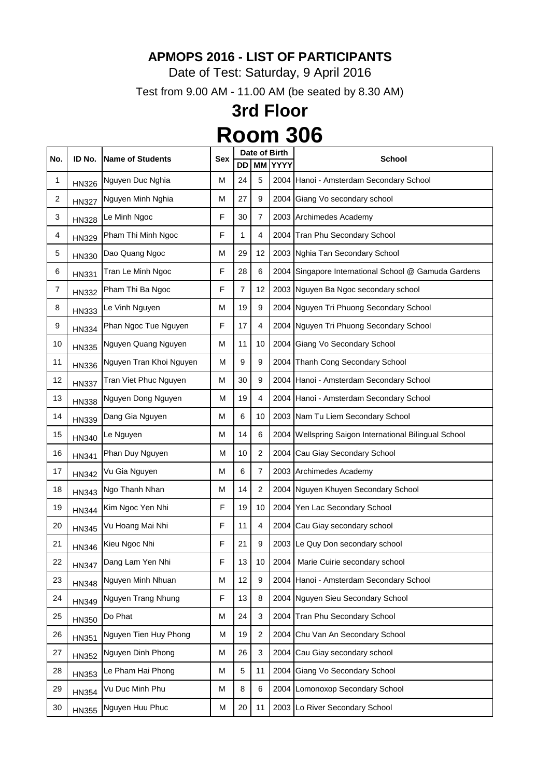Date of Test: Saturday, 9 April 2016

Test from 9.00 AM - 11.00 AM (be seated by 8.30 AM)

| No. | ID No.       | Name of Students        | <b>Sex</b> |       |                  | Date of Birth  | <b>School</b>                                           |
|-----|--------------|-------------------------|------------|-------|------------------|----------------|---------------------------------------------------------|
|     |              |                         |            | DD    |                  | <b>MM YYYY</b> |                                                         |
| 1   | <b>HN326</b> | Nguyen Duc Nghia        | M          | 24    | 5                |                | 2004 Hanoi - Amsterdam Secondary School                 |
| 2   | <b>HN327</b> | Nguyen Minh Nghia       | M          | 27    | 9                | 2004           | Giang Vo secondary school                               |
| 3   | <b>HN328</b> | Le Minh Ngoc            | F          | 30    | $\overline{7}$   |                | 2003 Archimedes Academy                                 |
| 4   | HN329        | Pham Thi Minh Ngoc      | F          | 1     | 4                |                | 2004 Tran Phu Secondary School                          |
| 5   | HN330        | Dao Quang Ngoc          | M          | 29    | 12               |                | 2003 Nghia Tan Secondary School                         |
| 6   | <b>HN331</b> | Tran Le Minh Ngoc       | F          | 28    | 6                |                | 2004 Singapore International School @ Gamuda Gardens    |
| 7   | <b>HN332</b> | Pham Thi Ba Ngoc        | F          | 7     | 12               |                | 2003 Nguyen Ba Ngoc secondary school                    |
| 8   | <b>HN333</b> | Le Vinh Nguyen          | М          | 19    | 9                |                | 2004 Nguyen Tri Phuong Secondary School                 |
| 9   | <b>HN334</b> | Phan Ngoc Tue Nguyen    | F          | 17    | 4                |                | 2004 Nguyen Tri Phuong Secondary School                 |
| 10  | <b>HN335</b> | Nguyen Quang Nguyen     | М          | 11    | 10               |                | 2004 Giang Vo Secondary School                          |
| 11  | <b>HN336</b> | Nguyen Tran Khoi Nguyen | M          | 9     | $\boldsymbol{9}$ |                | 2004 Thanh Cong Secondary School                        |
| 12  | <b>HN337</b> | Tran Viet Phuc Nguyen   | M          | 30    | 9                |                | 2004 Hanoi - Amsterdam Secondary School                 |
| 13  | <b>HN338</b> | Nguyen Dong Nguyen      | M          | 19    | 4                |                | 2004 Hanoi - Amsterdam Secondary School                 |
| 14  | <b>HN339</b> | Dang Gia Nguyen         | М          | $\,6$ | 10               |                | 2003 Nam Tu Liem Secondary School                       |
| 15  | <b>HN340</b> | Le Nguyen               | М          | 14    | 6                |                | 2004   Wellspring Saigon International Bilingual School |
| 16  | <b>HN341</b> | Phan Duy Nguyen         | M          | 10    | $\overline{2}$   |                | 2004 Cau Giay Secondary School                          |
| 17  | <b>HN342</b> | Vu Gia Nguyen           | M          | $\,6$ | $\overline{7}$   |                | 2003 Archimedes Academy                                 |
| 18  | <b>HN343</b> | Ngo Thanh Nhan          | M          | 14    | $\overline{2}$   |                | 2004 Nguyen Khuyen Secondary School                     |
| 19  | <b>HN344</b> | Kim Ngoc Yen Nhi        | F          | 19    | 10               |                | 2004 Yen Lac Secondary School                           |
| 20  | <b>HN345</b> | Vu Hoang Mai Nhi        | F          | 11    | 4                |                | 2004 Cau Giay secondary school                          |
| 21  | <b>HN346</b> | Kieu Ngoc Nhi           | F          | 21    | 9                |                | 2003 Le Quy Don secondary school                        |
| 22  | <b>HN347</b> | Dang Lam Yen Nhi        | F          | 13    | 10               | 2004           | Marie Cuirie secondary school                           |
| 23  | <b>HN348</b> | Nguyen Minh Nhuan       | M          | 12    | 9                |                | 2004 Hanoi - Amsterdam Secondary School                 |
| 24  | HN349        | Nguyen Trang Nhung      | F          | 13    | 8                |                | 2004 Nguyen Sieu Secondary School                       |
| 25  | HN350        | Do Phat                 | M          | 24    | 3                |                | 2004 Tran Phu Secondary School                          |
| 26  | <b>HN351</b> | Nguyen Tien Huy Phong   | M          | 19    | $\overline{2}$   |                | 2004 Chu Van An Secondary School                        |
| 27  | <b>HN352</b> | Nguyen Dinh Phong       | M          | 26    | 3                |                | 2004 Cau Giay secondary school                          |
| 28  | HN353        | Le Pham Hai Phong       | M          | 5     | 11               | 2004           | Giang Vo Secondary School                               |
| 29  | <b>HN354</b> | Vu Duc Minh Phu         | M          | 8     | 6                |                | 2004 Lomonoxop Secondary School                         |
| 30  | HN355        | Nguyen Huu Phuc         | M          | 20    | 11               |                | 2003 Lo River Secondary School                          |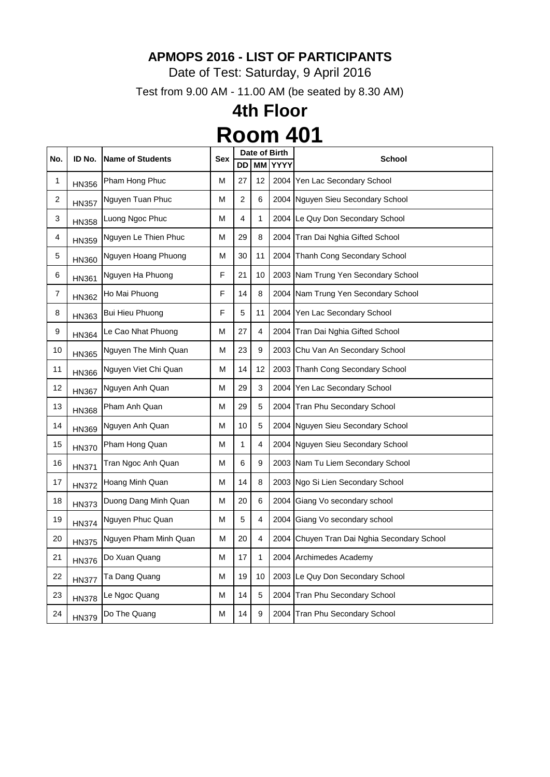Date of Test: Saturday, 9 April 2016

Test from 9.00 AM - 11.00 AM (be seated by 8.30 AM)

| No. | ID No.       | <b>Name of Students</b> | <b>Sex</b> | Date of Birth |           |             | <b>School</b>                               |
|-----|--------------|-------------------------|------------|---------------|-----------|-------------|---------------------------------------------|
|     |              |                         |            | DD            | <b>MM</b> | <b>YYYY</b> |                                             |
| 1   | <b>HN356</b> | Pham Hong Phuc          | M          | 27            | 12        | 2004        | Yen Lac Secondary School                    |
| 2   | <b>HN357</b> | Nguyen Tuan Phuc        | M          | 2             | 6         |             | 2004 Nguyen Sieu Secondary School           |
| 3   | <b>HN358</b> | Luong Ngoc Phuc         | M          | 4             | 1         |             | 2004 Le Quy Don Secondary School            |
| 4   | <b>HN359</b> | Nguyen Le Thien Phuc    | M          | 29            | 8         | 2004        | Tran Dai Nghia Gifted School                |
| 5   | <b>HN360</b> | Nguyen Hoang Phuong     | M          | 30            | 11        | 2004        | Thanh Cong Secondary School                 |
| 6   | <b>HN361</b> | Nguyen Ha Phuong        | F          | 21            | 10        |             | 2003 Nam Trung Yen Secondary School         |
| 7   | <b>HN362</b> | Ho Mai Phuong           | F          | 14            | 8         |             | 2004 Nam Trung Yen Secondary School         |
| 8   | HN363        | <b>Bui Hieu Phuong</b>  | F          | 5             | 11        | 2004        | Yen Lac Secondary School                    |
| 9   | <b>HN364</b> | Le Cao Nhat Phuong      | M          | 27            | 4         | 2004        | Tran Dai Nghia Gifted School                |
| 10  | <b>HN365</b> | Nguyen The Minh Quan    | M          | 23            | 9         | 2003        | Chu Van An Secondary School                 |
| 11  | <b>HN366</b> | Nguyen Viet Chi Quan    | M          | 14            | 12        | 2003        | Thanh Cong Secondary School                 |
| 12  | <b>HN367</b> | Nguyen Anh Quan         | M          | 29            | 3         | 2004        | Yen Lac Secondary School                    |
| 13  | <b>HN368</b> | Pham Anh Quan           | M          | 29            | 5         | 2004        | Tran Phu Secondary School                   |
| 14  | HN369        | Nguyen Anh Quan         | M          | 10            | 5         |             | 2004 Nguyen Sieu Secondary School           |
| 15  | <b>HN370</b> | Pham Hong Quan          | M          | 1             | 4         |             | 2004 Nguyen Sieu Secondary School           |
| 16  | <b>HN371</b> | Tran Ngoc Anh Quan      | M          | 6             | 9         |             | 2003 Nam Tu Liem Secondary School           |
| 17  | <b>HN372</b> | Hoang Minh Quan         | M          | 14            | 8         |             | 2003 Ngo Si Lien Secondary School           |
| 18  | <b>HN373</b> | Duong Dang Minh Quan    | M          | 20            | 6         |             | 2004 Giang Vo secondary school              |
| 19  | <b>HN374</b> | Nguyen Phuc Quan        | M          | 5             | 4         |             | 2004 Giang Vo secondary school              |
| 20  | <b>HN375</b> | Nguyen Pham Minh Quan   | M          | 20            | 4         |             | 2004 Chuyen Tran Dai Nghia Secondary School |
| 21  | <b>HN376</b> | Do Xuan Quang           | M          | 17            | 1         |             | 2004 Archimedes Academy                     |
| 22  | <b>HN377</b> | Ta Dang Quang           | M          | 19            | 10        |             | 2003 Le Quy Don Secondary School            |
| 23  | <b>HN378</b> | Le Ngoc Quang           | M          | 14            | 5         |             | 2004 Tran Phu Secondary School              |
| 24  | <b>HN379</b> | Do The Quang            | M          | 14            | 9         |             | 2004 Tran Phu Secondary School              |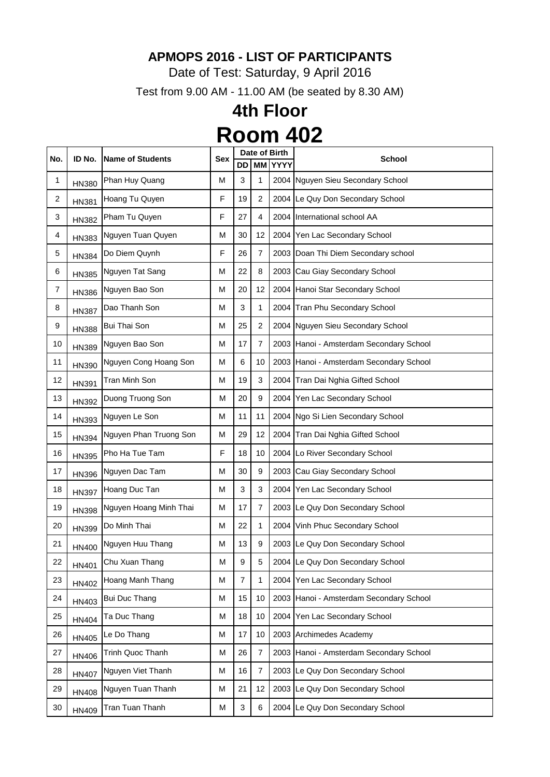Date of Test: Saturday, 9 April 2016

Test from 9.00 AM - 11.00 AM (be seated by 8.30 AM)

|     | ID No.       | <b>Name of Students</b> | <b>Sex</b> | Date of Birth  |                |                | <b>School</b>                           |
|-----|--------------|-------------------------|------------|----------------|----------------|----------------|-----------------------------------------|
| No. |              |                         |            | <b>DD</b>      |                | <b>MM YYYY</b> |                                         |
| 1   | <b>HN380</b> | Phan Huy Quang          | M          | 3              | 1              |                | 2004 Nguyen Sieu Secondary School       |
| 2   | <b>HN381</b> | Hoang Tu Quyen          | F          | 19             | $\overline{2}$ |                | 2004 Le Quy Don Secondary School        |
| 3   | <b>HN382</b> | Pham Tu Quyen           | F          | 27             | 4              |                | 2004 International school AA            |
| 4   | HN383        | Nguyen Tuan Quyen       | M          | 30             | 12             |                | 2004 Yen Lac Secondary School           |
| 5   | <b>HN384</b> | Do Diem Quynh           | F          | 26             | 7              |                | 2003 Doan Thi Diem Secondary school     |
| 6   | <b>HN385</b> | Nguyen Tat Sang         | M          | 22             | 8              |                | 2003 Cau Giay Secondary School          |
| 7   | <b>HN386</b> | Nguyen Bao Son          | M          | 20             | 12             |                | 2004 Hanoi Star Secondary School        |
| 8   | <b>HN387</b> | Dao Thanh Son           | M          | 3              | 1              |                | 2004 Tran Phu Secondary School          |
| 9   | <b>HN388</b> | <b>Bui Thai Son</b>     | M          | 25             | $\overline{2}$ |                | 2004 Nguyen Sieu Secondary School       |
| 10  | <b>HN389</b> | Nguyen Bao Son          | M          | 17             | $\overline{7}$ |                | 2003 Hanoi - Amsterdam Secondary School |
| 11  | HN390        | Nguyen Cong Hoang Son   | М          | 6              | 10             |                | 2003 Hanoi - Amsterdam Secondary School |
| 12  | <b>HN391</b> | <b>Tran Minh Son</b>    | M          | 19             | 3              |                | 2004 Tran Dai Nghia Gifted School       |
| 13  | <b>HN392</b> | Duong Truong Son        | M          | 20             | 9              |                | 2004 Yen Lac Secondary School           |
| 14  | <b>HN393</b> | Nguyen Le Son           | M          | 11             | 11             |                | 2004 Ngo Si Lien Secondary School       |
| 15  | <b>HN394</b> | Nguyen Phan Truong Son  | M          | 29             | 12             |                | 2004 Tran Dai Nghia Gifted School       |
| 16  | <b>HN395</b> | Pho Ha Tue Tam          | F          | 18             | 10             |                | 2004 Lo River Secondary School          |
| 17  | <b>HN396</b> | Nguyen Dac Tam          | M          | 30             | 9              |                | 2003 Cau Giay Secondary School          |
| 18  | <b>HN397</b> | Hoang Duc Tan           | M          | 3              | 3              |                | 2004 Yen Lac Secondary School           |
| 19  | <b>HN398</b> | Nguyen Hoang Minh Thai  | M          | 17             |                |                | 2003 Le Quy Don Secondary School        |
| 20  | HN399        | Do Minh Thai            | M          | 22             | 1              |                | 2004 Vinh Phuc Secondary School         |
| 21  | <b>HN400</b> | Nguyen Huu Thang        | M          | 13             | 9              |                | 2003 Le Quy Don Secondary School        |
| 22  | <b>HN401</b> | Chu Xuan Thang          | M          | 9              | 5              |                | 2004 Le Quy Don Secondary School        |
| 23  | HN402        | Hoang Manh Thang        | M          | $\overline{7}$ | 1              |                | 2004 Yen Lac Secondary School           |
| 24  | HN403        | <b>Bui Duc Thang</b>    | M          | 15             | 10             |                | 2003 Hanoi - Amsterdam Secondary School |
| 25  | HN404        | Ta Duc Thang            | M          | 18             | 10             |                | 2004 Yen Lac Secondary School           |
| 26  | <b>HN405</b> | Le Do Thang             | M          | 17             | 10             |                | 2003 Archimedes Academy                 |
| 27  | <b>HN406</b> | <b>Trinh Quoc Thanh</b> | M          | 26             | $\overline{7}$ |                | 2003 Hanoi - Amsterdam Secondary School |
| 28  | <b>HN407</b> | Nguyen Viet Thanh       | М          | 16             | $\overline{7}$ |                | 2003 Le Quy Don Secondary School        |
| 29  | <b>HN408</b> | Nguyen Tuan Thanh       | M          | 21             | 12             |                | 2003 Le Quy Don Secondary School        |
| 30  | HN409        | Tran Tuan Thanh         | M          | $\sqrt{3}$     | $\,6$          |                | 2004 Le Quy Don Secondary School        |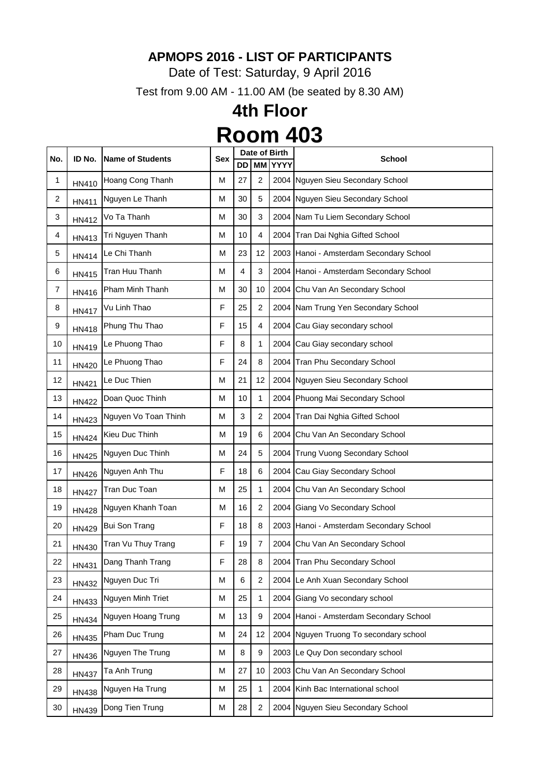Date of Test: Saturday, 9 April 2016

Test from 9.00 AM - 11.00 AM (be seated by 8.30 AM)

|     | ID No.       | <b>Name of Students</b> | <b>Sex</b> | Date of Birth |                |                |                                           |
|-----|--------------|-------------------------|------------|---------------|----------------|----------------|-------------------------------------------|
| No. |              |                         |            | <b>DD</b>     |                | <b>MM YYYY</b> | <b>School</b>                             |
| 1   | HN410        | Hoang Cong Thanh        | M          | 27            | $\overline{2}$ |                | 2004 Nguyen Sieu Secondary School         |
| 2   | HN411        | Nguyen Le Thanh         | M          | 30            | 5              |                | 2004 Nguyen Sieu Secondary School         |
| 3   | HN412        | Vo Ta Thanh             | M          | 30            | 3              |                | 2004 Nam Tu Liem Secondary School         |
| 4   | HN413        | Tri Nguyen Thanh        | M          | 10            | 4              |                | 2004 Tran Dai Nghia Gifted School         |
| 5   | <b>HN414</b> | Le Chi Thanh            | M          | 23            | 12             |                | 2003 Hanoi - Amsterdam Secondary School   |
| 6   | HN415        | Tran Huu Thanh          | М          | 4             | 3              |                | 2004   Hanoi - Amsterdam Secondary School |
| 7   | HN416        | Pham Minh Thanh         | M          | 30            | 10             |                | 2004 Chu Van An Secondary School          |
| 8   | <b>HN417</b> | Vu Linh Thao            | F          | 25            | $\overline{2}$ |                | 2004 Nam Trung Yen Secondary School       |
| 9   | <b>HN418</b> | Phung Thu Thao          | F          | 15            | 4              |                | 2004 Cau Giay secondary school            |
| 10  | HN419        | Le Phuong Thao          | F          | 8             | 1              |                | 2004 Cau Giay secondary school            |
| 11  | <b>HN420</b> | Le Phuong Thao          | F          | 24            | 8              |                | 2004 Tran Phu Secondary School            |
| 12  | <b>HN421</b> | Le Duc Thien            | M          | 21            | 12             |                | 2004 Nguyen Sieu Secondary School         |
| 13  | <b>HN422</b> | Doan Quoc Thinh         | M          | 10            | 1              |                | 2004 Phuong Mai Secondary School          |
| 14  | <b>HN423</b> | Nguyen Vo Toan Thinh    | M          | 3             | $\overline{2}$ |                | 2004 Tran Dai Nghia Gifted School         |
| 15  | <b>HN424</b> | Kieu Duc Thinh          | M          | 19            | 6              |                | 2004 Chu Van An Secondary School          |
| 16  | <b>HN425</b> | Nguyen Duc Thinh        | M          | 24            | 5              |                | 2004 Trung Vuong Secondary School         |
| 17  | <b>HN426</b> | Nguyen Anh Thu          | F          | 18            | 6              |                | 2004 Cau Giay Secondary School            |
| 18  | <b>HN427</b> | Tran Duc Toan           | M          | 25            | 1              | 2004           | Chu Van An Secondary School               |
| 19  | <b>HN428</b> | Nguyen Khanh Toan       | M          | 16            | 2              |                | 2004 Giang Vo Secondary School            |
| 20  | <b>HN429</b> | <b>Bui Son Trang</b>    | F          | 18            | 8              |                | 2003 Hanoi - Amsterdam Secondary School   |
| 21  | HN430        | Tran Vu Thuy Trang      | F          | 19            | $\overline{7}$ |                | 2004 Chu Van An Secondary School          |
| 22  | <b>HN431</b> | Dang Thanh Trang        | F          | 28            | 8              |                | 2004 Tran Phu Secondary School            |
| 23  | <b>HN432</b> | Nguyen Duc Tri          | M          | 6             | $\overline{2}$ |                | 2004 Le Anh Xuan Secondary School         |
| 24  | HN433        | Nguyen Minh Triet       | M          | 25            | 1              | 2004           | Giang Vo secondary school                 |
| 25  | <b>HN434</b> | Nguyen Hoang Trung      | M          | 13            | 9              |                | 2004 Hanoi - Amsterdam Secondary School   |
| 26  | HN435        | Pham Duc Trung          | M          | 24            | 12             |                | 2004 Nguyen Truong To secondary school    |
| 27  | <b>HN436</b> | Nguyen The Trung        | M          | 8             | 9              |                | 2003 Le Quy Don secondary school          |
| 28  | <b>HN437</b> | Ta Anh Trung            | M          | 27            | 10             |                | 2003 Chu Van An Secondary School          |
| 29  | <b>HN438</b> | Nguyen Ha Trung         | M          | 25            | 1              |                | 2004 Kinh Bac International school        |
| 30  | HN439        | Dong Tien Trung         | Μ          | 28            | $\overline{2}$ | 2004           | Nguyen Sieu Secondary School              |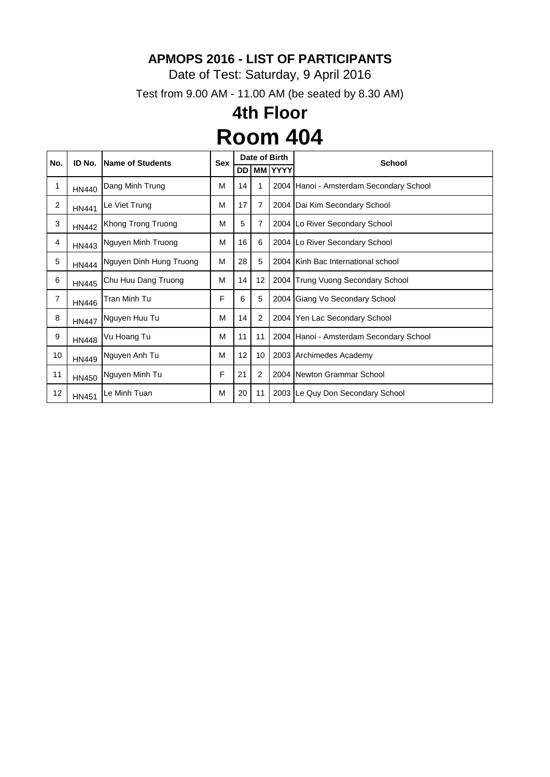Date of Test: Saturday, 9 April 2016

Test from 9.00 AM - 11.00 AM (be seated by 8.30 AM)

| No.            | ID No.       | <b>Name of Students</b> | <b>Sex</b> | Date of Birth |                |         | <b>School</b>                           |
|----------------|--------------|-------------------------|------------|---------------|----------------|---------|-----------------------------------------|
|                |              |                         |            | DD            |                | MM YYYY |                                         |
| 1              | <b>HN440</b> | Dang Minh Trung         | М          | 14            | 1              |         | 2004 Hanoi - Amsterdam Secondary School |
| $\overline{2}$ | <b>HN441</b> | Le Viet Trung           | М          | 17            | 7              |         | 2004 Dai Kim Secondary School           |
| 3              | <b>HN442</b> | Khong Trong Truong      | M          | 5             | 7              |         | 2004 Lo River Secondary School          |
| 4              | HN443        | Nguyen Minh Truong      | M          | 16            | 6              |         | 2004 Lo River Secondary School          |
| 5              | <b>HN444</b> | Nguyen Dinh Hung Truong | М          | 28            | 5              |         | 2004 Kinh Bac International school      |
| 6              | <b>HN445</b> | Chu Huu Dang Truong     | М          | 14            | 12             |         | 2004 Trung Vuong Secondary School       |
| 7              | <b>HN446</b> | Tran Minh Tu            | F          | 6             | 5              |         | 2004 Giang Vo Secondary School          |
| 8              | <b>HN447</b> | Nguyen Huu Tu           | M          | 14            | 2              |         | 2004 Yen Lac Secondary School           |
| 9              | <b>HN448</b> | Vu Hoang Tu             | M          | 11            | 11             |         | 2004 Hanoi - Amsterdam Secondary School |
| 10             | <b>HN449</b> | Nguyen Anh Tu           | M          | 12            | 10             |         | 2003 Archimedes Academy                 |
| 11             | HN450        | Nguyen Minh Tu          | F          | 21            | $\overline{2}$ |         | 2004 Newton Grammar School              |
| 12             | <b>HN451</b> | Le Minh Tuan            | М          | 20            | 11             |         | 2003 Le Quy Don Secondary School        |